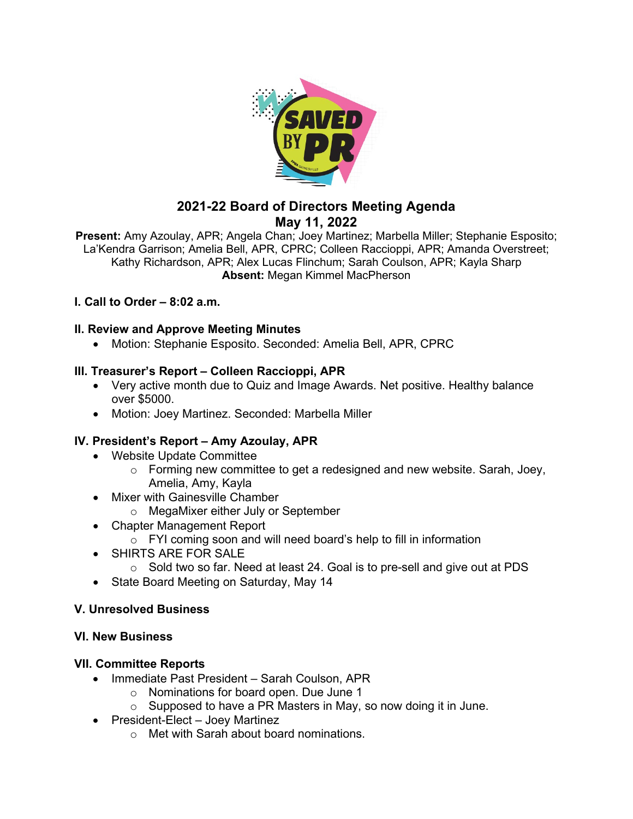

# **2021-22 Board of Directors Meeting Agenda May 11, 2022**

**Present:** Amy Azoulay, APR; Angela Chan; Joey Martinez; Marbella Miller; Stephanie Esposito; La'Kendra Garrison; Amelia Bell, APR, CPRC; Colleen Raccioppi, APR; Amanda Overstreet; Kathy Richardson, APR; Alex Lucas Flinchum; Sarah Coulson, APR; Kayla Sharp **Absent:** Megan Kimmel MacPherson

## **I. Call to Order – 8:02 a.m.**

## **II. Review and Approve Meeting Minutes**

• Motion: Stephanie Esposito. Seconded: Amelia Bell, APR, CPRC

## **III. Treasurer's Report – Colleen Raccioppi, APR**

- Very active month due to Quiz and Image Awards. Net positive. Healthy balance over \$5000.
- Motion: Joey Martinez. Seconded: Marbella Miller

## **IV. President's Report – Amy Azoulay, APR**

- Website Update Committee
	- o Forming new committee to get a redesigned and new website. Sarah, Joey, Amelia, Amy, Kayla
- Mixer with Gainesville Chamber
	- o MegaMixer either July or September
- Chapter Management Report
	- $\circ$  FYI coming soon and will need board's help to fill in information
- SHIRTS ARE FOR SALE
	- $\circ$  Sold two so far. Need at least 24. Goal is to pre-sell and give out at PDS
- State Board Meeting on Saturday, May 14

#### **V. Unresolved Business**

#### **VI. New Business**

#### **VII. Committee Reports**

- Immediate Past President Sarah Coulson, APR
	- o Nominations for board open. Due June 1
	- $\circ$  Supposed to have a PR Masters in May, so now doing it in June.
- President-Elect Joey Martinez
	- o Met with Sarah about board nominations.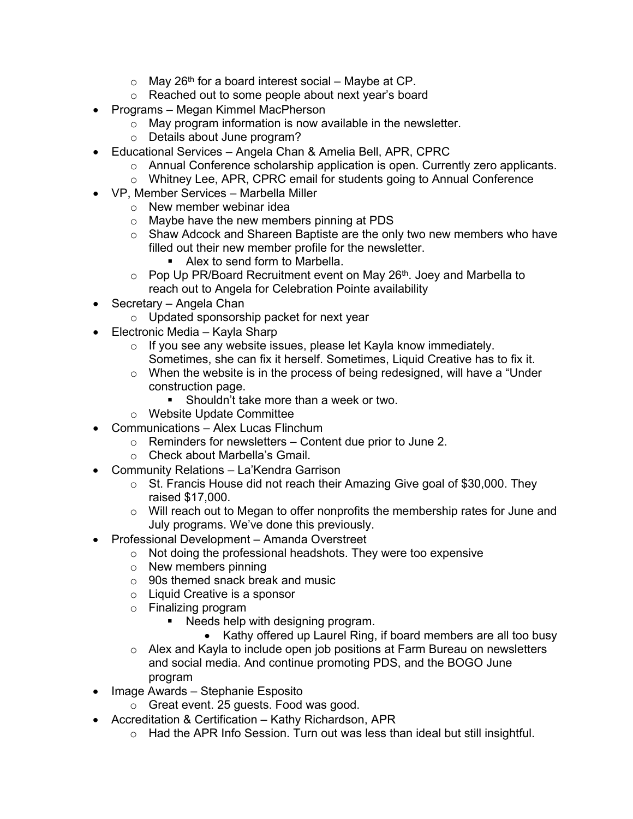- $\circ$  May 26<sup>th</sup> for a board interest social Maybe at CP.
- o Reached out to some people about next year's board
- Programs Megan Kimmel MacPherson
	- o May program information is now available in the newsletter.
	- o Details about June program?
- Educational Services Angela Chan & Amelia Bell, APR, CPRC
	- o Annual Conference scholarship application is open. Currently zero applicants.
	- o Whitney Lee, APR, CPRC email for students going to Annual Conference
- VP, Member Services Marbella Miller
	- o New member webinar idea
	- o Maybe have the new members pinning at PDS
	- o Shaw Adcock and Shareen Baptiste are the only two new members who have filled out their new member profile for the newsletter.
		- Alex to send form to Marbella.
	- $\circ$  Pop Up PR/Board Recruitment event on May 26<sup>th</sup>. Joey and Marbella to reach out to Angela for Celebration Pointe availability
- Secretary Angela Chan
	- o Updated sponsorship packet for next year
- Electronic Media Kayla Sharp
	- o If you see any website issues, please let Kayla know immediately. Sometimes, she can fix it herself. Sometimes, Liquid Creative has to fix it.
	- $\circ$  When the website is in the process of being redesigned, will have a "Under" construction page.
		- **Shouldn't take more than a week or two.**
	- o Website Update Committee
- Communications Alex Lucas Flinchum
	- $\circ$  Reminders for newsletters Content due prior to June 2.
	- o Check about Marbella's Gmail.
- Community Relations La'Kendra Garrison
	- o St. Francis House did not reach their Amazing Give goal of \$30,000. They raised \$17,000.
	- o Will reach out to Megan to offer nonprofits the membership rates for June and July programs. We've done this previously.
- Professional Development Amanda Overstreet
	- o Not doing the professional headshots. They were too expensive
	- o New members pinning
	- o 90s themed snack break and music
	- o Liquid Creative is a sponsor
	- o Finalizing program
		- **Needs help with designing program.** 
			- Kathy offered up Laurel Ring, if board members are all too busy
	- o Alex and Kayla to include open job positions at Farm Bureau on newsletters and social media. And continue promoting PDS, and the BOGO June program
- Image Awards Stephanie Esposito
	- o Great event. 25 guests. Food was good.
- Accreditation & Certification Kathy Richardson, APR
	- $\circ$  Had the APR Info Session. Turn out was less than ideal but still insightful.